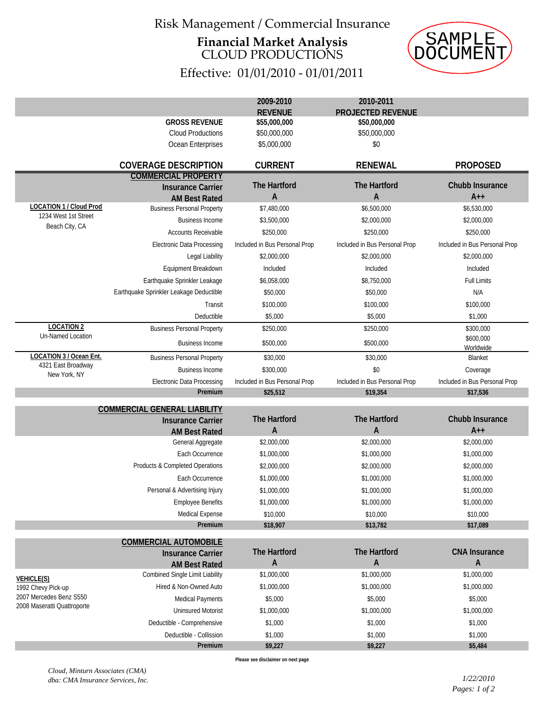## Risk Management / Commercial Insurance **Financial Market Analysis** CLOUD PRODUCTIONS



|                                                                                                   | SAMPLE<br>CUMENT                                          |                                     |                                       |                                 |
|---------------------------------------------------------------------------------------------------|-----------------------------------------------------------|-------------------------------------|---------------------------------------|---------------------------------|
|                                                                                                   |                                                           | Effective: 01/01/2010 - 01/01/2011  |                                       |                                 |
|                                                                                                   |                                                           | 2009-2010                           | 2010-2011<br><b>PROJECTED REVENUE</b> |                                 |
|                                                                                                   | <b>GROSS REVENUE</b>                                      | <b>REVENUE</b><br>\$55,000,000      | \$50,000,000                          |                                 |
|                                                                                                   | <b>Cloud Productions</b>                                  | \$50,000,000                        | \$50,000,000                          |                                 |
|                                                                                                   | Ocean Enterprises                                         | \$5,000,000                         | \$0                                   |                                 |
|                                                                                                   | <b>COVERAGE DESCRIPTION</b>                               | <b>CURRENT</b>                      | <b>RENEWAL</b>                        | <b>PROPOSED</b>                 |
|                                                                                                   | <b>COMMERCIAL PROPERTY</b>                                |                                     |                                       |                                 |
|                                                                                                   | <b>Insurance Carrier</b>                                  | <b>The Hartford</b><br>A            | The Hartford<br>A                     | <b>Chubb Insurance</b><br>$A++$ |
| <b>LOCATION 1 / Cloud Prod</b><br>1234 West 1st Street                                            | <b>AM Best Rated</b><br><b>Business Personal Property</b> | \$7,480,000                         | \$6,500,000                           | \$6,530,000                     |
|                                                                                                   | <b>Business Income</b>                                    | \$3,500,000                         | \$2,000,000                           | \$2,000,000                     |
| Beach City, CA                                                                                    | <b>Accounts Receivable</b>                                |                                     |                                       |                                 |
|                                                                                                   |                                                           | \$250,000                           | \$250,000                             | \$250,000                       |
|                                                                                                   | <b>Electronic Data Processing</b>                         | Included in Bus Personal Prop       | Included in Bus Personal Prop         | Included in Bus Personal Prop   |
|                                                                                                   | Legal Liability                                           | \$2,000,000                         | \$2,000,000                           | \$2,000,000                     |
|                                                                                                   | Equipment Breakdown                                       | Included                            | Included                              | Included                        |
|                                                                                                   | Earthquake Sprinkler Leakage                              | \$6,058,000                         | \$8,750,000                           | <b>Full Limits</b>              |
|                                                                                                   | Earthquake Sprinkler Leakage Deductible                   | \$50,000                            | \$50,000                              | N/A                             |
|                                                                                                   | Transit                                                   | \$100,000                           | \$100,000                             | \$100,000                       |
|                                                                                                   | Deductible                                                | \$5,000                             | \$5,000                               | \$1,000                         |
| <b>LOCATION 2</b>                                                                                 | <b>Business Personal Property</b>                         | \$250,000                           | \$250,000                             | \$300,000                       |
| Un-Named Location                                                                                 | <b>Business Income</b>                                    | \$500,000                           | \$500,000                             | \$600,000<br>Worldwide          |
| LOCATION 3 / Ocean Ent.                                                                           | <b>Business Personal Property</b>                         | \$30,000                            | \$30,000                              | Blanket                         |
| 4321 East Broadway                                                                                | <b>Business Income</b>                                    | \$300,000                           | \$0                                   | Coverage                        |
| New York, NY                                                                                      | <b>Electronic Data Processing</b>                         | Included in Bus Personal Prop       | Included in Bus Personal Prop         | Included in Bus Personal Prop   |
|                                                                                                   | Premium                                                   | \$25,512                            | \$19,354                              | \$17,536                        |
|                                                                                                   | <b>COMMERCIAL GENERAL LIABILITY</b>                       |                                     |                                       |                                 |
|                                                                                                   | <b>Insurance Carrier</b><br><b>AM Best Rated</b>          | <b>The Hartford</b><br>$\mathsf{A}$ | <b>The Hartford</b><br>$\overline{A}$ | Chubb Insurance<br>$A++$        |
|                                                                                                   | General Aggregate                                         | \$2,000,000                         | \$2,000,000                           | \$2,000,000                     |
|                                                                                                   | Each Occurrence                                           | \$1,000,000                         | \$1,000,000                           | \$1,000,000                     |
|                                                                                                   | Products & Completed Operations                           | \$2,000,000                         | \$2,000,000                           | \$2,000,000                     |
|                                                                                                   | Each Occurrence                                           | \$1,000,000                         | \$1,000,000                           | \$1,000,000                     |
|                                                                                                   | Personal & Advertising Injury                             | \$1,000,000                         | \$1,000,000                           | \$1,000,000                     |
|                                                                                                   | <b>Employee Benefits</b>                                  | \$1,000,000                         | \$1,000,000                           | \$1,000,000                     |
|                                                                                                   | Medical Expense                                           | \$10,000                            | \$10,000                              | \$10,000                        |
|                                                                                                   | Premium                                                   | \$18,907                            | \$13,782                              | \$17,089                        |
|                                                                                                   | <b>COMMERCIAL AUTOMOBILE</b>                              |                                     |                                       |                                 |
|                                                                                                   | <b>Insurance Carrier</b>                                  | The Hartford                        | The Hartford                          | <b>CNA</b> Insurance            |
| <b>VEHICLE(S)</b><br>1992 Chevy Pick-up<br>2007 Mercedes Benz S550<br>2008 Maseratti Quattroporte | <b>AM Best Rated</b>                                      | $\mathsf{A}$                        | A                                     | A                               |
|                                                                                                   | Combined Single Limit Liability                           | \$1,000,000                         | \$1,000,000                           | \$1,000,000                     |
|                                                                                                   | Hired & Non-Owned Auto                                    | \$1,000,000                         | \$1,000,000                           | \$1,000,000                     |
|                                                                                                   | <b>Medical Payments</b>                                   | \$5,000                             | \$5,000                               | \$5,000                         |
|                                                                                                   | <b>Uninsured Motorist</b>                                 | \$1,000,000                         | \$1,000,000                           | \$1,000,000                     |
|                                                                                                   | Deductible - Comprehensive                                | \$1,000                             | \$1,000                               | \$1,000                         |
|                                                                                                   | Deductible - Collission                                   | \$1,000                             | \$1,000                               | \$1,000                         |
|                                                                                                   | Premium                                                   | \$9,227                             | \$9,227                               | \$5,484                         |
|                                                                                                   |                                                           | Please see disclaimer on next page  |                                       |                                 |
| Cloud, Minturn Associates (CMA)                                                                   |                                                           |                                     |                                       |                                 |
| dba: CMA Insurance Services, Inc.                                                                 |                                                           |                                     |                                       | 1/22/2010                       |
|                                                                                                   |                                                           |                                     |                                       | Pages: 1 of 2                   |